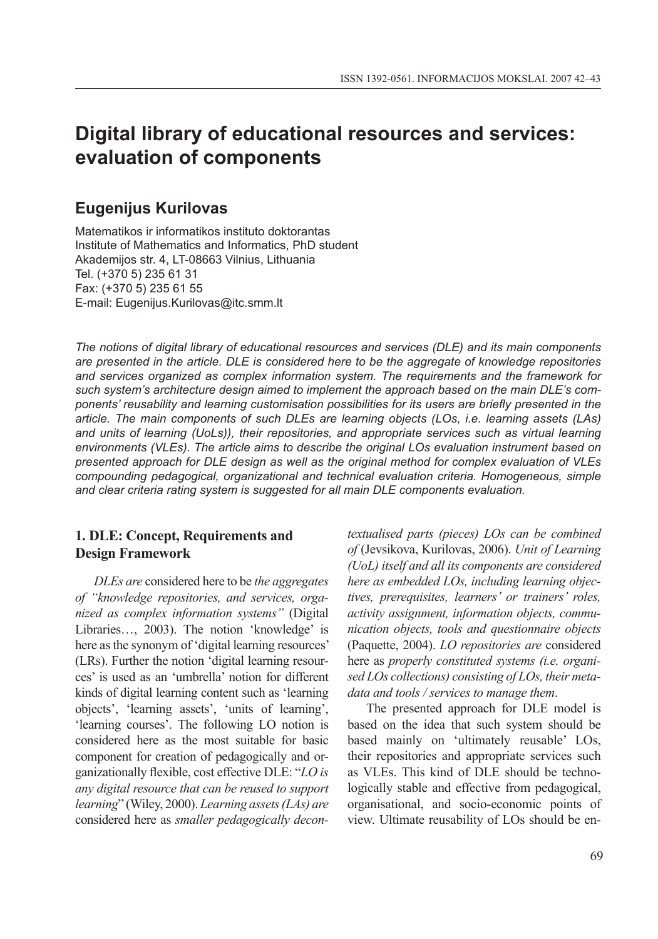# **Digital library of educational resources and services: evaluation of components**

# **Eugenijus Kurilovas**

Matematikos ir informatikos instituto doktorantas Institute of Mathematics and Informatics, PhD student Akademijos str. 4, LT-08663 Vilnius, Lithuania Tel. (+370 5) 235 61 31 Fax: (+370 5) 235 61 55 E-mail: Eugenijus.Kurilovas@itc.smm.lt

*The notions of digital library of educational resources and services (DLE) and its main components are presented in the article. DLE is considered here to be the aggregate of knowledge repositories and services organized as complex information system. The requirements and the framework for such system's architecture design aimed to implement the approach based on the main DLE's components' reusability and learning customisation possibilities for its users are briefly presented in the article. The main components of such DLEs are learning objects (LOs, i.e. learning assets (LAs) and units of learning (UoLs)), their repositories, and appropriate services such as virtual learning environments (VLEs). The article aims to describe the original LOs evaluation instrument based on presented approach for DLE design as well as the original method for complex evaluation of VLEs compounding pedagogical, organizational and technical evaluation criteria. Homogeneous, simple and clear criteria rating system is suggested for all main DLE components evaluation.* 

#### **1. DLE: Concept, Requirements and Design Framework**

*DLEs are* considered here to be *the aggregates of "knowledge repositories, and services, organized as complex information systems"* (Digital Libraries…, 2003). The notion 'knowledge' is here as the synonym of 'digital learning resources' (LRs). Further the notion 'digital learning resources' is used as an 'umbrella' notion for different kinds of digital learning content such as 'learning objects', 'learning assets', 'units of learning', 'learning courses'. The following LO notion is considered here as the most suitable for basic component for creation of pedagogically and organizationally flexible, cost effective DLE: "*LO is any digital resource that can be reused to support learning*" (Wiley, 2000). *Learning assets (LAs) are* considered here as *smaller pedagogically decon-* *textualised parts (pieces) LOs can be combined of* (Jevsikova, Kurilovas, 2006). *Unit of Learning (UoL) itself and all its components are considered here as embedded LOs, including learning objectives, prerequisites, learners' or trainers' roles, activity assignment, information objects, communication objects, tools and questionnaire objects* (Paquette, 2004). *LO repositories are* considered here as *properly constituted systems (i.e. organised LOs collections) consisting of LOs, their metadata and tools / services to manage them*.

The presented approach for DLE model is based on the idea that such system should be based mainly on 'ultimately reusable' LOs, their repositories and appropriate services such as VLEs. This kind of DLE should be technologically stable and effective from pedagogical, organisational, and socio-economic points of view. Ultimate reusability of LOs should be en-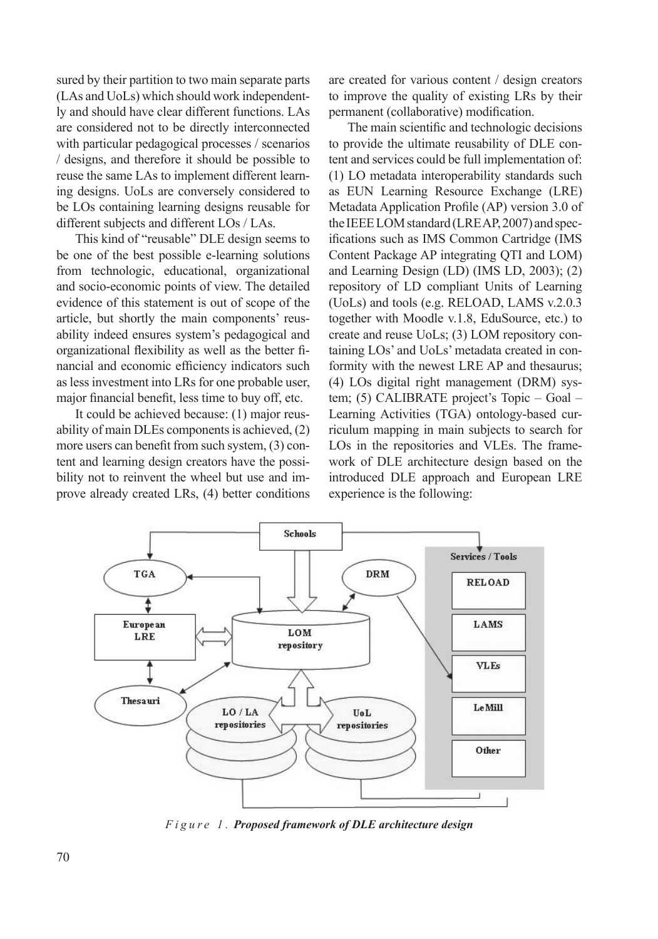sured by their partition to two main separate parts (LAs and UoLs) which should work independently and should have clear different functions. LAs are considered not to be directly interconnected with particular pedagogical processes / scenarios / designs, and therefore it should be possible to reuse the same LAs to implement different learning designs. UoLs are conversely considered to be LOs containing learning designs reusable for different subjects and different LOs / LAs.

This kind of "reusable" DLE design seems to be one of the best possible e-learning solutions from technologic, educational, organizational and socio-economic points of view. The detailed evidence of this statement is out of scope of the article, but shortly the main components' reusability indeed ensures system's pedagogical and organizational flexibility as well as the better financial and economic efficiency indicators such as less investment into LRs for one probable user, major financial benefit, less time to buy off, etc.

It could be achieved because: (1) major reusability of main DLEs components is achieved, (2) more users can benefit from such system, (3) content and learning design creators have the possibility not to reinvent the wheel but use and improve already created LRs, (4) better conditions are created for various content / design creators to improve the quality of existing LRs by their permanent (collaborative) modification.

The main scientific and technologic decisions to provide the ultimate reusability of DLE content and services could be full implementation of: (1) LO metadata interoperability standards such as EUN Learning Resource Exchange (LRE) Metadata Application Profile (AP) version 3.0 of the IEEE LOM standard (LRE AP, 2007) and specifications such as IMS Common Cartridge (IMS Content Package AP integrating QTI and LOM) and Learning Design (LD) (IMS LD, 2003); (2) repository of LD compliant Units of Learning (UoLs) and tools (e.g. RELOAD, LAMS v.2.0.3 together with Moodle v.1.8, EduSource, etc.) to create and reuse UoLs; (3) LOM repository containing LOs' and UoLs' metadata created in conformity with the newest LRE AP and thesaurus; (4) LOs digital right management (DRM) system; (5) CALIBRATE project's Topic – Goal – Learning Activities (TGA) ontology-based curriculum mapping in main subjects to search for LOs in the repositories and VLEs. The framework of DLE architecture design based on the introduced DLE approach and European LRE experience is the following:



*F i g u r e 1 . Proposed framework of DLE architecture design*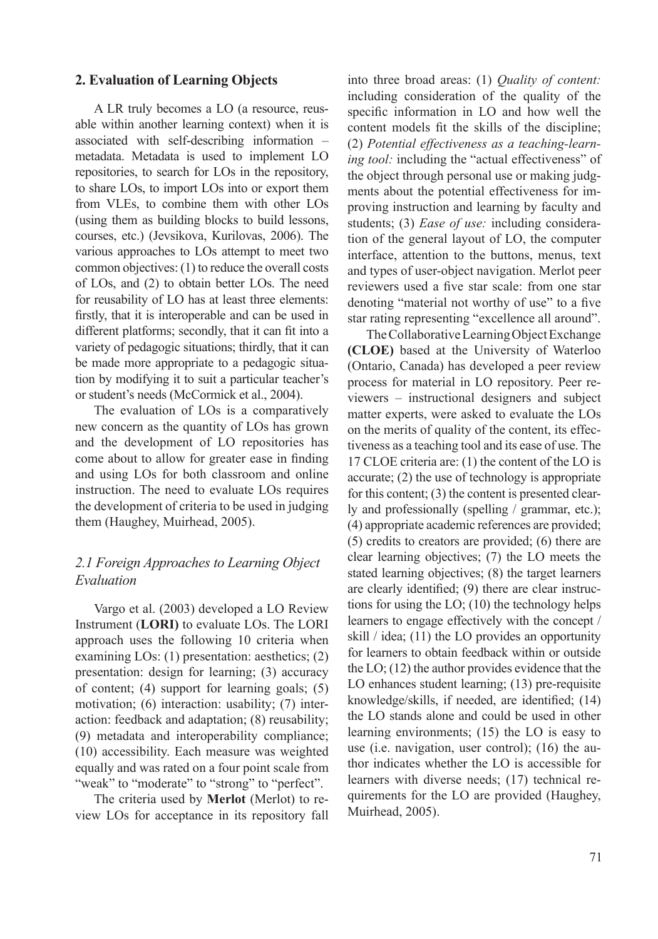#### **2. Evaluation of Learning Objects**

A LR truly becomes a LO (a resource, reusable within another learning context) when it is associated with self-describing information – metadata. Metadata is used to implement LO repositories, to search for LOs in the repository, to share LOs, to import LOs into or export them from VLEs, to combine them with other LOs (using them as building blocks to build lessons, courses, etc.) (Jevsikova, Kurilovas, 2006). The various approaches to LOs attempt to meet two common objectives: (1) to reduce the overall costs of LOs, and (2) to obtain better LOs. The need for reusability of LO has at least three elements: firstly, that it is interoperable and can be used in different platforms; secondly, that it can fit into a variety of pedagogic situations; thirdly, that it can be made more appropriate to a pedagogic situation by modifying it to suit a particular teacher's or student's needs (McCormick et al., 2004).

The evaluation of LOs is a comparatively new concern as the quantity of LOs has grown and the development of LO repositories has come about to allow for greater ease in finding and using LOs for both classroom and online instruction. The need to evaluate LOs requires the development of criteria to be used in judging them (Haughey, Muirhead, 2005).

#### *2.1 Foreign Approaches to Learning Object Evaluation*

Vargo et al. (2003) developed a LO Review Instrument (**LORI)** to evaluate LOs. The LORI approach uses the following 10 criteria when examining LOs: (1) presentation: aesthetics; (2) presentation: design for learning; (3) accuracy of content; (4) support for learning goals; (5) motivation; (6) interaction: usability; (7) interaction: feedback and adaptation; (8) reusability; (9) metadata and interoperability compliance; (10) accessibility. Each measure was weighted equally and was rated on a four point scale from "weak" to "moderate" to "strong" to "perfect".

The criteria used by **Merlot** (Merlot) to review LOs for acceptance in its repository fall

into three broad areas: (1) *Quality of content:* including consideration of the quality of the specific information in LO and how well the content models fit the skills of the discipline; (2) *Potential effectiveness as a teaching-learning tool:* including the "actual effectiveness" of the object through personal use or making judgments about the potential effectiveness for improving instruction and learning by faculty and students; (3) *Ease of use:* including consideration of the general layout of LO, the computer interface, attention to the buttons, menus, text and types of user-object navigation. Merlot peer reviewers used a five star scale: from one star denoting "material not worthy of use" to a five star rating representing "excellence all around".

The Collaborative Learning Object Exchange **(CLOE)** based at the University of Waterloo (Ontario, Canada) has developed a peer review process for material in LO repository. Peer reviewers – instructional designers and subject matter experts, were asked to evaluate the LOs on the merits of quality of the content, its effectiveness as a teaching tool and its ease of use. The 17 CLOE criteria are: (1) the content of the LO is accurate; (2) the use of technology is appropriate for this content; (3) the content is presented clearly and professionally (spelling / grammar, etc.); (4) appropriate academic references are provided; (5) credits to creators are provided; (6) there are clear learning objectives; (7) the LO meets the stated learning objectives; (8) the target learners are clearly identified; (9) there are clear instructions for using the LO; (10) the technology helps learners to engage effectively with the concept / skill / idea; (11) the LO provides an opportunity for learners to obtain feedback within or outside the LO; (12) the author provides evidence that the LO enhances student learning; (13) pre-requisite knowledge/skills, if needed, are identified; (14) the LO stands alone and could be used in other learning environments; (15) the LO is easy to use (i.e. navigation, user control); (16) the author indicates whether the LO is accessible for learners with diverse needs; (17) technical requirements for the LO are provided (Haughey, Muirhead, 2005).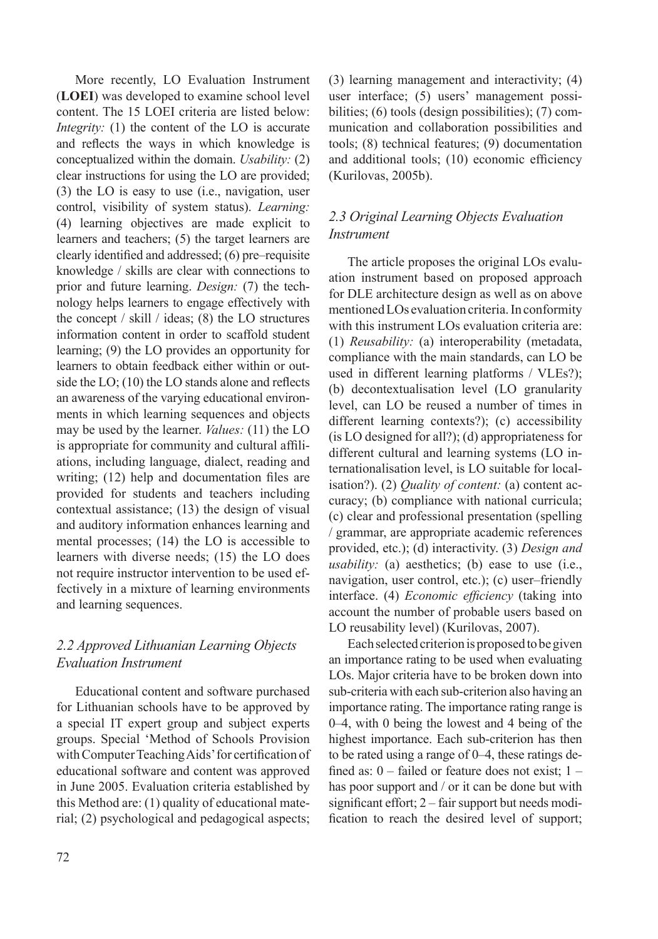More recently, LO Evaluation Instrument (**LOEI**) was developed to examine school level content. The 15 LOEI criteria are listed below: *Integrity:* (1) the content of the LO is accurate and reflects the ways in which knowledge is conceptualized within the domain. *Usability:* (2) clear instructions for using the LO are provided; (3) the LO is easy to use (i.e., navigation, user control, visibility of system status). *Learning:* (4) learning objectives are made explicit to learners and teachers; (5) the target learners are clearly identified and addressed; (6) pre–requisite knowledge / skills are clear with connections to prior and future learning. *Design:* (7) the technology helps learners to engage effectively with the concept / skill / ideas; (8) the LO structures information content in order to scaffold student learning; (9) the LO provides an opportunity for learners to obtain feedback either within or outside the LO; (10) the LO stands alone and reflects an awareness of the varying educational environments in which learning sequences and objects may be used by the learner. *Values:* (11) the LO is appropriate for community and cultural affiliations, including language, dialect, reading and writing; (12) help and documentation files are provided for students and teachers including contextual assistance; (13) the design of visual and auditory information enhances learning and mental processes; (14) the LO is accessible to learners with diverse needs; (15) the LO does not require instructor intervention to be used effectively in a mixture of learning environments and learning sequences.

### *2.2 Approved Lithuanian Learning Objects Evaluation Instrument*

Educational content and software purchased for Lithuanian schools have to be approved by a special IT expert group and subject experts groups. Special 'Method of Schools Provision with Computer Teaching Aids' for certification of educational software and content was approved in June 2005. Evaluation criteria established by this Method are: (1) quality of educational material; (2) psychological and pedagogical aspects; (3) learning management and interactivity; (4) user interface; (5) users' management possibilities; (6) tools (design possibilities); (7) communication and collaboration possibilities and tools; (8) technical features; (9) documentation and additional tools; (10) economic efficiency (Kurilovas, 2005b).

## *2.3 Original Learning Objects Evaluation Instrument*

The article proposes the original LOs evaluation instrument based on proposed approach for DLE architecture design as well as on above mentioned LOs evaluation criteria. In conformity with this instrument LOs evaluation criteria are: (1) *Reusability:* (a) interoperability (metadata, compliance with the main standards, can LO be used in different learning platforms / VLEs?); (b) decontextualisation level (LO granularity level, can LO be reused a number of times in different learning contexts?); (c) accessibility (is LO designed for all?); (d) appropriateness for different cultural and learning systems (LO internationalisation level, is LO suitable for localisation?). (2) *Quality of content:* (a) content accuracy; (b) compliance with national curricula; (c) clear and professional presentation (spelling / grammar, are appropriate academic references provided, etc.); (d) interactivity. (3) *Design and usability:* (a) aesthetics; (b) ease to use (i.e., navigation, user control, etc.); (c) user–friendly interface. (4) *Economic efficiency* (taking into account the number of probable users based on LO reusability level) (Kurilovas, 2007).

Each selected criterion is proposed to be given an importance rating to be used when evaluating LOs. Major criteria have to be broken down into sub-criteria with each sub-criterion also having an importance rating. The importance rating range is 0–4, with 0 being the lowest and 4 being of the highest importance. Each sub-criterion has then to be rated using a range of 0–4, these ratings defined as:  $0$  – failed or feature does not exist;  $1$  – has poor support and / or it can be done but with significant effort; 2 – fair support but needs modification to reach the desired level of support;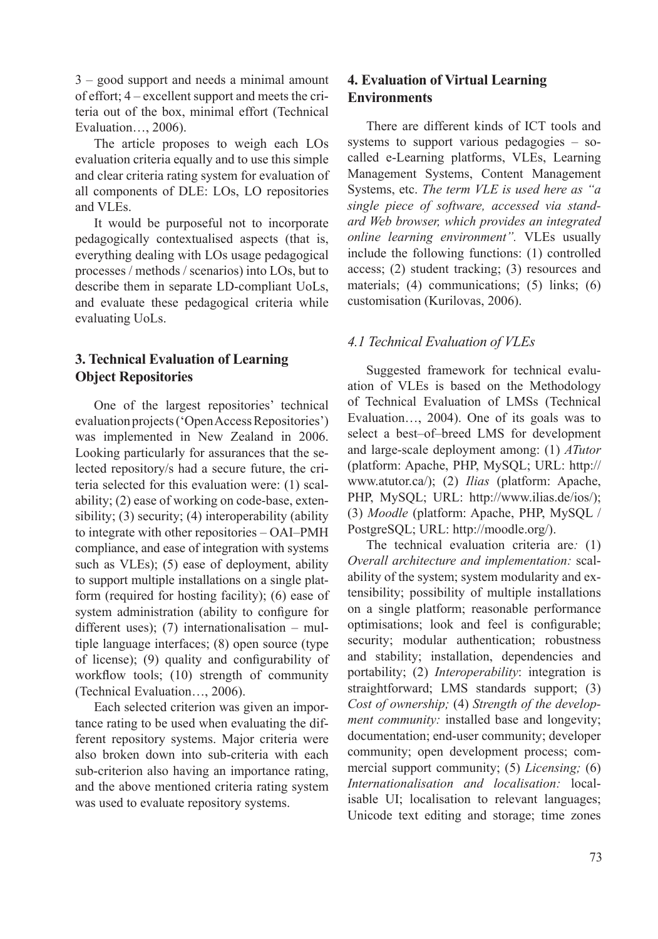3 – good support and needs a minimal amount of effort; 4 – excellent support and meets the criteria out of the box, minimal effort (Technical Evaluation…, 2006).

The article proposes to weigh each LOs evaluation criteria equally and to use this simple and clear criteria rating system for evaluation of all components of DLE: LOs, LO repositories and VLEs.

It would be purposeful not to incorporate pedagogically contextualised aspects (that is, everything dealing with LOs usage pedagogical processes / methods / scenarios) into LOs, but to describe them in separate LD-compliant UoLs, and evaluate these pedagogical criteria while evaluating UoLs.

### **3. Technical Evaluation of Learning Object Repositories**

One of the largest repositories' technical evaluation projects ('Open Access Repositories') was implemented in New Zealand in 2006. Looking particularly for assurances that the selected repository/s had a secure future, the criteria selected for this evaluation were: (1) scalability; (2) ease of working on code-base, extensibility; (3) security; (4) interoperability (ability to integrate with other repositories – OAI–PMH compliance, and ease of integration with systems such as VLEs); (5) ease of deployment, ability to support multiple installations on a single platform (required for hosting facility); (6) ease of system administration (ability to configure for different uses); (7) internationalisation – multiple language interfaces; (8) open source (type of license); (9) quality and configurability of workflow tools; (10) strength of community (Technical Evaluation…, 2006).

Each selected criterion was given an importance rating to be used when evaluating the different repository systems. Major criteria were also broken down into sub-criteria with each sub-criterion also having an importance rating, and the above mentioned criteria rating system was used to evaluate repository systems.

### **4. Evaluation of Virtual Learning Environments**

There are different kinds of ICT tools and systems to support various pedagogies – socalled e-Learning platforms, VLEs, Learning Management Systems, Content Management Systems, etc. *The term VLE is used here as "a single piece of software, accessed via standard Web browser, which provides an integrated online learning environment".* VLEs usually include the following functions: (1) controlled access; (2) student tracking; (3) resources and materials; (4) communications; (5) links; (6) customisation (Kurilovas, 2006).

### *4.1 Technical Evaluation of VLEs*

Suggested framework for technical evaluation of VLEs is based on the Methodology of Technical Evaluation of LMSs (Technical Evaluation…, 2004). One of its goals was to select a best–of–breed LMS for development and large-scale deployment among: (1) *ATutor*  (platform: Apache, PHP, MySQL; URL: http:// www.atutor.ca/); (2) *Ilias* (platform: Apache, PHP, MySQL; URL: http://www.ilias.de/ios/); (3) *Moodle* (platform: Apache, PHP, MySQL / PostgreSQL; URL: http://moodle.org/).

The technical evaluation criteria are*:* (1) *Overall architecture and implementation:* scalability of the system; system modularity and extensibility; possibility of multiple installations on a single platform; reasonable performance optimisations; look and feel is configurable; security; modular authentication; robustness and stability; installation, dependencies and portability; (2) *Interoperability*: integration is straightforward; LMS standards support; (3) *Cost of ownership;* (4) *Strength of the development community:* installed base and longevity; documentation; end-user community; developer community; open development process; commercial support community; (5) *Licensing;* (6) *Internationalisation and localisation:* localisable UI; localisation to relevant languages; Unicode text editing and storage; time zones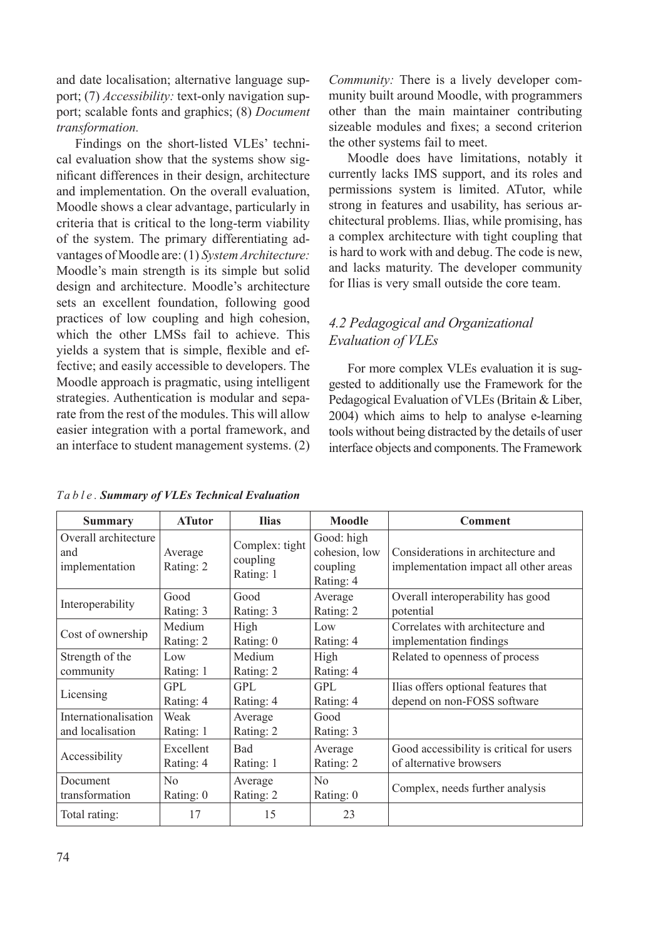and date localisation; alternative language support; (7) *Accessibility:* text-only navigation support; scalable fonts and graphics; (8) *Document transformation.*

Findings on the short-listed VLEs' technical evaluation show that the systems show significant differences in their design, architecture and implementation. On the overall evaluation, Moodle shows a clear advantage, particularly in criteria that is critical to the long-term viability of the system. The primary differentiating advantages of Moodle are: (1) *System Architecture:* Moodle's main strength is its simple but solid design and architecture. Moodle's architecture sets an excellent foundation, following good practices of low coupling and high cohesion, which the other LMSs fail to achieve. This yields a system that is simple, flexible and effective; and easily accessible to developers. The Moodle approach is pragmatic, using intelligent strategies. Authentication is modular and separate from the rest of the modules. This will allow easier integration with a portal framework, and an interface to student management systems. (2) *Community:* There is a lively developer community built around Moodle, with programmers other than the main maintainer contributing sizeable modules and fixes; a second criterion the other systems fail to meet.

Moodle does have limitations, notably it currently lacks IMS support, and its roles and permissions system is limited. ATutor, while strong in features and usability, has serious architectural problems. Ilias, while promising, has a complex architecture with tight coupling that is hard to work with and debug. The code is new, and lacks maturity. The developer community for Ilias is very small outside the core team.

### *4.2 Pedagogical and Organizational Evaluation of VLEs*

For more complex VLEs evaluation it is suggested to additionally use the Framework for the Pedagogical Evaluation of VLEs (Britain & Liber, 2004) which aims to help to analyse e-learning tools without being distracted by the details of user interface objects and components. The Framework

| <b>Summary</b>                                | <b>ATutor</b>        | <b>Ilias</b>                            | Moodle                                               | <b>Comment</b>                                                              |
|-----------------------------------------------|----------------------|-----------------------------------------|------------------------------------------------------|-----------------------------------------------------------------------------|
| Overall architecture<br>and<br>implementation | Average<br>Rating: 2 | Complex: tight<br>coupling<br>Rating: 1 | Good: high<br>cohesion, low<br>coupling<br>Rating: 4 | Considerations in architecture and<br>implementation impact all other areas |
| Interoperability                              | Good                 | Good                                    | Average                                              | Overall interoperability has good                                           |
|                                               | Rating: 3            | Rating: 3                               | Rating: 2                                            | potential                                                                   |
| Cost of ownership                             | Medium               | High                                    | Low                                                  | Correlates with architecture and                                            |
|                                               | Rating: 2            | Rating: 0                               | Rating: 4                                            | implementation findings                                                     |
| Strength of the                               | Low                  | Medium                                  | High                                                 | Related to openness of process                                              |
| community                                     | Rating: 1            | Rating: 2                               | Rating: 4                                            |                                                                             |
| Licensing                                     | GPL                  | GPL                                     | GPL.                                                 | Ilias offers optional features that                                         |
|                                               | Rating: 4            | Rating: 4                               | Rating: 4                                            | depend on non-FOSS software                                                 |
| Internationalisation                          | Weak                 | Average                                 | Good                                                 |                                                                             |
| and localisation                              | Rating: 1            | Rating: 2                               | Rating: 3                                            |                                                                             |
| Accessibility                                 | Excellent            | <b>Bad</b>                              | Average                                              | Good accessibility is critical for users                                    |
|                                               | Rating: 4            | Rating: 1                               | Rating: 2                                            | of alternative browsers                                                     |
| Document                                      | No                   | Average                                 | N <sub>0</sub>                                       | Complex, needs further analysis                                             |
| transformation                                | Rating: 0            | Rating: 2                               | Rating: 0                                            |                                                                             |
| Total rating:                                 | 17                   | 15                                      | 23                                                   |                                                                             |

*Ta b l e . Summary of VLEs Technical Evaluation*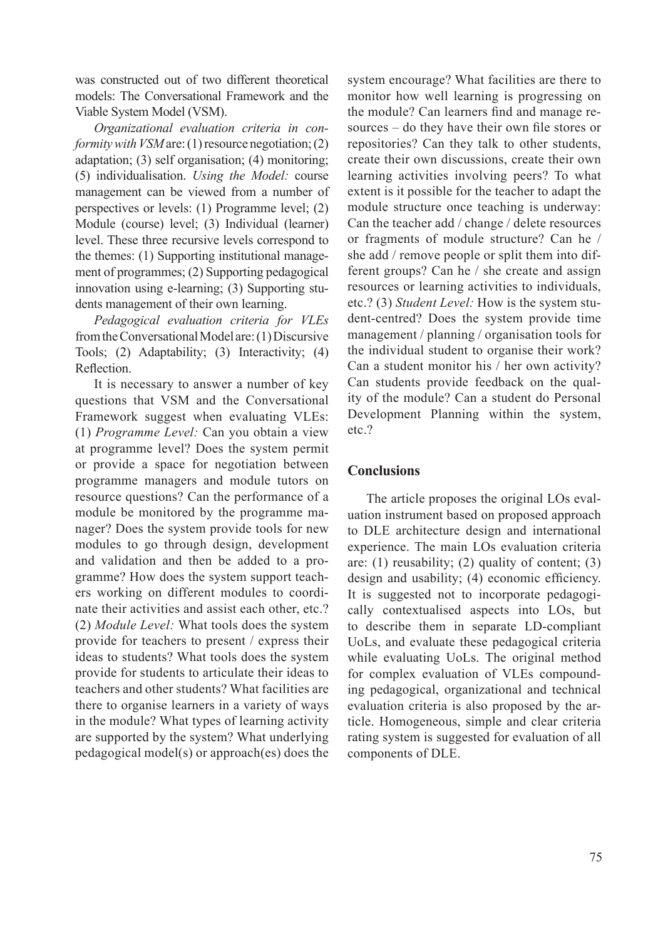was constructed out of two different theoretical models: The Conversational Framework and the Viable System Model (VSM).

*Organizational evaluation criteria in conformity with VSM* are: (1) resource negotiation; (2) adaptation; (3) self organisation; (4) monitoring; (5) individualisation. *Using the Model:* course management can be viewed from a number of perspectives or levels: (1) Programme level; (2) Module (course) level; (3) Individual (learner) level. These three recursive levels correspond to the themes: (1) Supporting institutional management of programmes; (2) Supporting pedagogical innovation using e-learning; (3) Supporting students management of their own learning.

*Pedagogical evaluation criteria for VLEs* from the Conversational Model are: (1) Discursive Tools; (2) Adaptability; (3) Interactivity; (4) Reflection.

It is necessary to answer a number of key questions that VSM and the Conversational Framework suggest when evaluating VLEs: (1) *Programme Level:* Can you obtain a view at programme level? Does the system permit or provide a space for negotiation between programme managers and module tutors on resource questions? Can the performance of a module be monitored by the programme manager? Does the system provide tools for new modules to go through design, development and validation and then be added to a programme? How does the system support teachers working on different modules to coordinate their activities and assist each other, etc.? (2) *Module Level:* What tools does the system provide for teachers to present / express their ideas to students? What tools does the system provide for students to articulate their ideas to teachers and other students? What facilities are there to organise learners in a variety of ways in the module? What types of learning activity are supported by the system? What underlying pedagogical model(s) or approach(es) does the system encourage? What facilities are there to monitor how well learning is progressing on the module? Can learners find and manage resources – do they have their own file stores or repositories? Can they talk to other students, create their own discussions, create their own learning activities involving peers? To what extent is it possible for the teacher to adapt the module structure once teaching is underway: Can the teacher add / change / delete resources or fragments of module structure? Can he / she add / remove people or split them into different groups? Can he / she create and assign resources or learning activities to individuals, etc.? (3) *Student Level:* How is the system student-centred? Does the system provide time management / planning / organisation tools for the individual student to organise their work? Can a student monitor his / her own activity? Can students provide feedback on the quality of the module? Can a student do Personal Development Planning within the system, etc.?

#### **Conclusions**

The article proposes the original LOs evaluation instrument based on proposed approach to DLE architecture design and international experience. The main LOs evaluation criteria are:  $(1)$  reusability;  $(2)$  quality of content;  $(3)$ design and usability; (4) economic efficiency. It is suggested not to incorporate pedagogically contextualised aspects into LOs, but to describe them in separate LD-compliant UoLs, and evaluate these pedagogical criteria while evaluating UoLs. The original method for complex evaluation of VLEs compounding pedagogical, organizational and technical evaluation criteria is also proposed by the article. Homogeneous, simple and clear criteria rating system is suggested for evaluation of all components of DLE.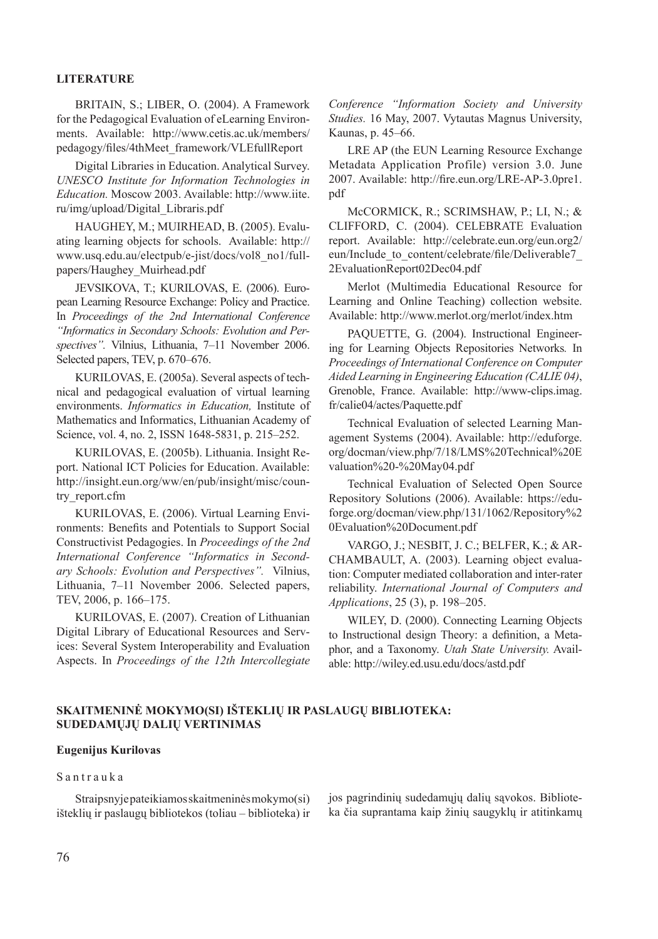#### **Literature**

BRITAIN, S.; LIBER, O. (2004). A Framework for the Pedagogical Evaluation of eLearning Environments. Available: http://www.cetis.ac.uk/members/ pedagogy/files/4thMeet\_framework/VLEfullReport

Digital Libraries in Education. Analytical Survey. *UNESCO Institute for Information Technologies in Education.* Moscow 2003. Available: http://www.iite. ru/img/upload/Digital\_Libraris.pdf

HAUGHEY, M.; MUIRHEAD, B. (2005). Evaluating learning objects for schools. Available: http:// www.usq.edu.au/electpub/e-jist/docs/vol8\_no1/fullpapers/Haughey\_Muirhead.pdf

JEVSIKOVA, T.; KURILOVAS, E. (2006). European Learning Resource Exchange: Policy and Practice. In *Proceedings of the 2nd International Conference "Informatics in Secondary Schools: Evolution and Perspectives".* Vilnius, Lithuania, 7–11 November 2006. Selected papers, TEV, p. 670–676.

KURILOVAS, E. (2005a). Several aspects of technical and pedagogical evaluation of virtual learning environments. *Informatics in Education,* Institute of Mathematics and Informatics, Lithuanian Academy of Science, vol. 4, no. 2, ISSN 1648-5831, p. 215–252.

KURILOVAS, E. (2005b). Lithuania. Insight Report. National ICT Policies for Education. Available: http://insight.eun.org/ww/en/pub/insight/misc/country\_report.cfm

KURILOVAS, E. (2006). Virtual Learning Environments: Benefits and Potentials to Support Social Constructivist Pedagogies. In *Proceedings of the 2nd International Conference "Informatics in Secondary Schools: Evolution and Perspectives".* Vilnius, Lithuania, 7–11 November 2006. Selected papers, TEV, 2006, p. 166–175.

KURILOVAS, E. (2007). Creation of Lithuanian Digital Library of Educational Resources and Services: Several System Interoperability and Evaluation Aspects. In *Proceedings of the 12th Intercollegiate*  *Conference "Information Society and University Studies.* 16 May, 2007. Vytautas Magnus University, Kaunas, p. 45–66.

LRE AP (the EUN Learning Resource Exchange Metadata Application Profile) version 3.0. June 2007. Available: http://fire.eun.org/LRE-AP-3.0pre1. pdf

McCORMICK, R.; SCRIMSHAW, P.; LI, N.; & CLIFFORD, C. (2004). CELEBRATE Evaluation report. Available: http://celebrate.eun.org/eun.org2/ eun/Include to content/celebrate/file/Deliverable7 2EvaluationReport02Dec04.pdf

Merlot (Multimedia Educational Resource for Learning and Online Teaching) collection website. Available: http://www.merlot.org/merlot/index.htm

PAQUETTE, G. (2004). Instructional Engineering for Learning Objects Repositories Networks*.* In *Proceedings of International Conference on Computer Aided Learning in Engineering Education (CALIE 04)*, Grenoble, France. Available: http://www-clips.imag. fr/calie04/actes/Paquette.pdf

Technical Evaluation of selected Learning Management Systems (2004). Available: http://eduforge. org/docman/view.php/7/18/LMS%20Technical%20E valuation%20-%20May04.pdf

Technical Evaluation of Selected Open Source Repository Solutions (2006). Available: https://eduforge.org/docman/view.php/131/1062/Repository%2 0Evaluation%20Document.pdf

VARGO, J.; NESBIT, J. C.; BELFER, K.; & AR-CHAMBAULT, A. (2003). Learning object evaluation: Computer mediated collaboration and inter-rater reliability. *International Journal of Computers and Applications*, 25 (3), p. 198–205.

WILEY, D. (2000). Connecting Learning Objects to Instructional design Theory: a definition, a Metaphor, and a Taxonomy. *Utah State University.* Available: http://wiley.ed.usu.edu/docs/astd.pdf

#### **SKAITMENINĖ MOKYMO(SI) IŠTEKLIŲ IR PASLAUGŲ BIBLIOTEKA: SUDEDAMŲJŲ DALIŲ VERTINIMAS**

#### **Eugenijus Kurilovas**

#### S a n t r a u k a

Straipsnyje pateikiamos skaitmeninės mokymo(si) išteklių ir paslaugų bibliotekos (toliau – biblioteka) ir jos pagrindinių sudedamųjų dalių sąvokos. Biblioteka čia suprantama kaip žinių saugyklų ir atitinkamų